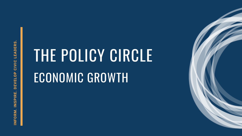# THE POLICY CIRCLE ECONOMIC GROWTH

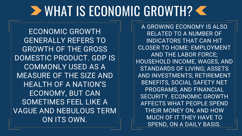### WHAT IS ECONOMIC GROWTH?

ECONOMIC GROWTH GENERALLY REFERS TO GROWTH OF THE GROSS DOMESTIC PRODUCT. GDP IS COMMONLY USED AS A MEASURE OF THE SIZE AND HEALTH OF A NATION'S ECONOMY, BUT CAN SOMETIMES FEEL LIKE A VAGUE AND NEBULOUS TERM ON ITS OWN.

A GROWING ECONOMY IS ALSO RELATED TO A NUMBER OF INDICATORS THAT CAN HIT CLOSER TO HOME: EMPLOYMENT AND THE LABOR FORCE; HOUSEHOLD INCOME, WAGES, AND STANDARDS OF LIVING; ASSETS AND INVESTMENTS; RETIREMENT BENEFITS, SOCIAL SAFETY NET PROGRAMS, AND FINANCIAL SECURITY. ECONOMIC GROWTH AFFECTS WHAT PEOPLE SPEND THEIR MONEY ON, AND HOW MUCH OF IT THEY HAVE TO SPEND, ON A DAILY BASIS.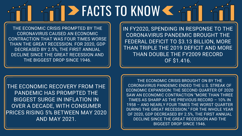# **EXACTS TO KNOW K**

THE ECONOMIC CRISIS PROMPTED BY THE CORONAVIRUS CAUSED AN ECONOMIC CONTRACTION THAT WAS FOUR TIMES WORSE THAN THE GREAT RECESSION. FOR 2020, GDP DECREASED BY 2.5%, THE FIRST ANNUAL DECLINE SINCE THE GREAT RECESSION AND THE BIGGEST DROP SINCE 1946.

IN FY2020, SPENDING IN RESPONSE TO THE CORONAVIRUS PANDEMIC BROUGHT THE FEDERAL DEFICIT TO \$3.13 BILLION, MORE THAN TRIPLE THE 2019 DEFICIT AND MORE THAN DOUBLE THE FY2009 RECORD OF \$1.416.

THE ECONOMIC RECOVERY FROM THE PANDEMIC HAS PROMPTED THE BIGGEST SURGE IN INFLATION IN OVER A DECADE, WITH CONSUMER PRICES RISING 5% BETWEEN MAY 2020 AND MAY 2021.

THE ECONOMIC CRISIS BROUGHT ON BY THE CORONAVIRUS PANDEMIC ENDED THE U.S. STREAK OF ECONOMIC EXPANSION: THE SECOND QUARTER OF 2020 SAW AN ECONOMIC CONTRACTION "MORE THAN THREE TIMES AS SHARP AS THE PREVIOUS RECORD – 10% IN 1958 – AND NEARLY FOUR TIMES THE WORST QUARTER DURING THE GREAT RECESSION." FOR THE WHOLE YEAR OF 2020, GDP DECREASED BY 2.5%, THE FIRST ANNUAL DECLINE SINCE THE GREAT RECESSION AND THE BIGGEST DROP SINCE 1946.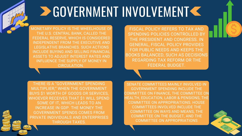THERE IS A "GOVERNMENT SPENDING MULTIPLIER;" WHEN THE GOVERNMENT BUYS \$1 WORTH OF GOODS OR SERVICES, WHOEVER RECEIVES THAT \$1 WILL SPEND SOME OF IT, WHICH LEADS TO AN INCREASE IN GDP. THE MONEY THE GOVERNMENT SPENDS COMES FROM PRIVATE INDIVIDUALS AND ENTERPRISES THROUGH TAXES.

FISCAL POLICY REFERS TO TAX AND SPENDING POLICIES CONTROLLED BY THE PRESIDENT AND CONGRESS. IN GENERAL, FISCAL POLICY PROVIDES FOR PUBLIC NEEDS AND KEEPS THE BOOKS BALANCED, SUCH AS DECISIONS REGARDING TAX REFORM OR THE FEDERAL BUDGET.

## **DE GOVERNMENT INVOLVEMENT << AND AND AND AND ARRIVE STATE OF STATE AND AND AND AND ARRIVE STATE OF STATE AND AND AND AND ARRIVE STATE OF STATE AND AND AND AND AND AND ARRIVE MEDICAL STATE AND AND ARRIVE MEDICAL STATE AND**

MONETARY POLICY IS THE WHEELHOUSE OF THE U.S. CENTRAL BANK, CALLED THE FEDERAL RESERVE, WHICH IS CONSIDERED INDEPENDENT FROM THE EXECUTIVE AND LEGISLATIVE BRANCHES. SUCH ACTIONS INCLUDE BUYING AND SELLING FINANCIAL ASSETS TO ADJUST INTEREST RATES AND INFLUENCE THE SUPPLY OF MONEY IN CIRCULATION.

> SENATE COMMITTEES MAINLY INVOLVED IN GOVERNMENT SPENDING INCLUDE THE COMMITTEE ON FINANCE, THE COMMITTEE ON HEALTH, EDUCATION, LABOR & PENSIONS, THE COMMITTEE ON APPROPRIATIONS. HOUSE COMMITTEES INVOLVED INCLUDE THE COMMITTEE ON WAYS AND MEANS, THE COMMITTEE ON THE BUDGET, AND THE COMMITTEE ON APPROPRIATIONS

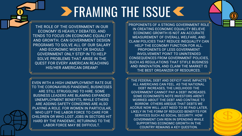## **ERAMING THE ISSUE <<**

THE ROLE OF THE GOVERNMENT IN OUR ECONOMY IS HEAVILY DEBATED, AND TENDS TO FOCUS ON ECONOMIC EQUALITY AND GROWTH. CAN GOVERNMENT DESIGN PROGRAMS TO SOLVE ALL OF OUR SALARY AND ECONOMIC WOES? OR SHOULD GOVERNMENT ONLY STEP IN TO HELP SOLVE PROBLEMS THAT ARISE IN THE QUEST FOR EVERY AMERICAN REACHING HIS/HER AMERICAN DREAM?

EVEN WITH A HIGH UNEMPLOYMENT RATE DUE TO THE CORONAVIRUS PANDEMIC, BUSINESSES ARE STILL STRUGGLING TO HIRE. SOME BUSINESS LEADERS ARE BLAMING EXPANDED UNEMPLOYMENT BENEFITS, WHILE OTHERS ARE ADDING SAFETY CONCERNS ARE ALSO PLAYING A ROLE. FOR WOMEN IN PARTICULAR, WHO LEFT THE LABOR FORCE TO CARE FOR CHILDREN OR WHO LOST JOBS IN SECTORS HIT HARD BY THE PANDEMIC, RETURNING TO THE LABOR FORCE MAY BE DIFFICULT.

THE FEDERAL DEBT AND DEFICIT HAVE IMPACTS ALL AMERICANS CAN FEEL. AS THE NATIONAL DEBT INCREASES, THE LIKELIHOOD THE GOVERNMENT CANNOT PAY A DEBT INCREASES. SOME ECONOMISTS NOTE INVESTORS AREN'T WORRIED ABOUT THE DEBT AND CONTINUE TO BORROW. OTHERS AREGUE THAT DEBTS WE ACCRUE NOW WILL JUST NEED TO BE PAID LATER, LIKELY IN THE FORM OF REDUCED BENEFITS FOR SERVICES SUCH AS SOCIAL SECURITY. HOW GOVERNMENT CAN REIN IN SPENDING WHILE SUPPORTING ECONOMIC GROWTH IN THE COUNTRY REMAINS A KEY QUESTION.



PROPONENTS OF A STRONG GOVERNMENT ROLE IN CREATING ECONOMIC EQUALITY BELIEVE ECONOMIC GROWTH IS NOT AN ACCURATE MEASUREMENT OF OVERALL WELFARE, AND CLAIM POLICIES THAT REDUCE INEQUALITY CAN HELP THE ECONOMY FUNCTION FOR ALL. PROPONENTS OF LESS GOVERNMENT INVOLVEMENT POINT TO UNINTENDED CONSEQUENCES FROM GOVERNMENT POLICIES, SUCH AS REGULATIONS THAT STIFLE BUSINESS AND INNOVATION, AND CLAIM THE MARKET IS THE BEST ORGANIZER OF RESOURCES.

S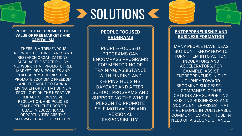### **SOLUTIONS &**

#### **POLICIES THAT PROMOTE THE VALUE OF FREE MARKETS AND CAPITALISM**

THERE IS A TREMENDOUS NETWORK OF THINK TANKS AND RESEARCH ORGANIZATIONS, SUCH AS THE STATE POLICY NETWORK, THAT PROMOTE FREE MARKET IDEAS, POLICIES AND PHILOSOPHY. POLICIES THAT PROMOTE ECONOMIC FREEDOM AND THE RIGHT TO EARN A LIVING, EFFORTS THAT SHINE A SPOTLIGHT ON THE NEGATIVE IMPACT OF EXCESSIVE REGULATION, AND POLICIES THAT OPEN THE DOOR TO QUALITY EDUCATIONAL OPPORTUNITIES ARE THE PATHWAY TO A BETTER FUTURE.

#### **ENTREPRENEURSHIP AND BUSINESS FORMATION**

MANY PEOPLE HAVE IDEAS BUT DON'T KNOW HOW TO TURN THEM INTO ACTION. INCUBATORS AND ACCELERATORS, FOR EXAMPLE, ASSIST ENTREPRENEURS IN THE JOURNEY TOWARD BECOMING SUCCESSFUL COMPANIES. OTHER OPTIONS ARE SUPPORTING EXISTING BUSINESSES AND SOCIAL ENTERPRISES THAT HIRE PEOPLE IN VULNERABLE COMMUNITIES AND THOSE IN NEED OF A SECOND CHANCE.

#### **PEOPLE FOCUSED PROGRAMS**

PEOPLE-FOCUSED PROGRAMS CAN ENCOMPASS PROGRAMS FOR MENTORING OR TRAINING, ASSISTANCE WITH FINDING AND KEEPING HOUSING, DAYCARE AND AFTER-SCHOOL PROGRAMS AND SUPPORTING THE WHOLE PERSON TO PROMOTE SELF-MOTIVATION AND PERSONAL RESPONSIBILITY.